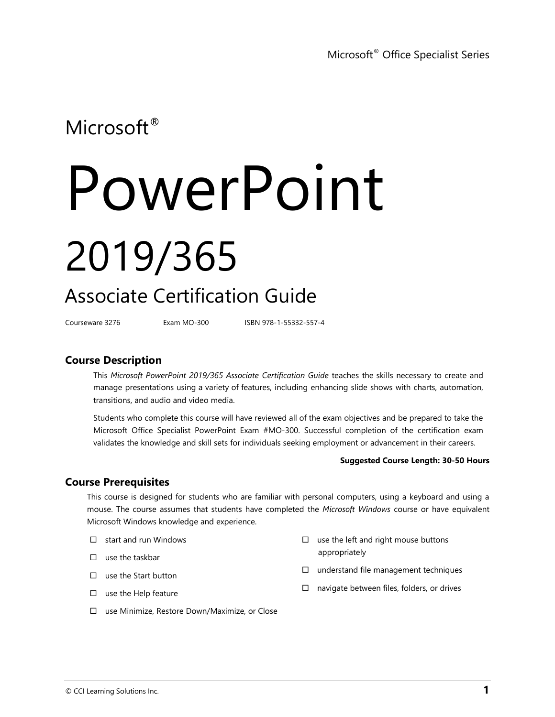### Microsoft<sup>®</sup>

# PowerPoint 2019/365

## Associate Certification Guide

Courseware 3276 Exam MO-300 ISBN 978-1-55332-557-4

#### **Course Description**

This *Microsoft PowerPoint 2019/365 Associate Certification Guide* teaches the skills necessary to create and manage presentations using a variety of features, including enhancing slide shows with charts, automation, transitions, and audio and video media.

Students who complete this course will have reviewed all of the exam objectives and be prepared to take the Microsoft Office Specialist PowerPoint Exam #MO-300. Successful completion of the certification exam validates the knowledge and skill sets for individuals seeking employment or advancement in their careers.

#### **Suggested Course Length: 30-50 Hours**

#### **Course Prerequisites**

This course is designed for students who are familiar with personal computers, using a keyboard and using a mouse. The course assumes that students have completed the *Microsoft Windows* course or have equivalent Microsoft Windows knowledge and experience.

- $\Box$  start and run Windows
- $\square$  use the taskbar
- $\Box$  use the Start button
- $\square$  use the Help feature

 $\square$  understand file management techniques

appropriately

 $\Box$  navigate between files, folders, or drives

 $\square$  use the left and right mouse buttons

use Minimize, Restore Down/Maximize, or Close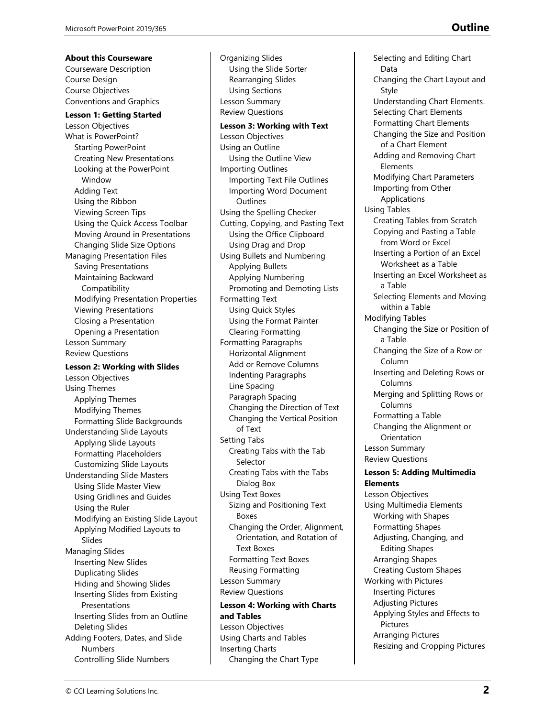**About this Courseware** Courseware Description Course Design Course Objectives Conventions and Graphics

**Lesson 1: Getting Started** Lesson Objectives What is PowerPoint? Starting PowerPoint Creating New Presentations Looking at the PowerPoint Window Adding Text Using the Ribbon Viewing Screen Tips Using the Quick Access Toolbar Moving Around in Presentations Changing Slide Size Options Managing Presentation Files Saving Presentations Maintaining Backward Compatibility Modifying Presentation Properties Viewing Presentations Closing a Presentation Opening a Presentation Lesson Summary Review Questions

#### **Lesson 2: Working with Slides** Lesson Objectives Using Themes Applying Themes Modifying Themes Formatting Slide Backgrounds Understanding Slide Layouts Applying Slide Layouts Formatting Placeholders Customizing Slide Layouts Understanding Slide Masters Using Slide Master View Using Gridlines and Guides Using the Ruler Modifying an Existing Slide Layout Applying Modified Layouts to Slides Managing Slides Inserting New Slides Duplicating Slides Hiding and Showing Slides Inserting Slides from Existing Presentations Inserting Slides from an Outline Deleting Slides Adding Footers, Dates, and Slide Numbers Controlling Slide Numbers

Organizing Slides Using the Slide Sorter Rearranging Slides Using Sections Lesson Summary Review Questions **Lesson 3: Working with Text** Lesson Objectives Using an Outline Using the Outline View Importing Outlines Importing Text File Outlines Importing Word Document **Outlines** Using the Spelling Checker Cutting, Copying, and Pasting Text Using the Office Clipboard Using Drag and Drop Using Bullets and Numbering Applying Bullets Applying Numbering Promoting and Demoting Lists Formatting Text Using Quick Styles Using the Format Painter Clearing Formatting Formatting Paragraphs Horizontal Alignment Add or Remove Columns Indenting Paragraphs Line Spacing Paragraph Spacing Changing the Direction of Text Changing the Vertical Position of Text Setting Tabs Creating Tabs with the Tab Selector Creating Tabs with the Tabs Dialog Box Using Text Boxes Sizing and Positioning Text Boxes Changing the Order, Alignment, Orientation, and Rotation of Text Boxes Formatting Text Boxes Reusing Formatting Lesson Summary Review Questions **Lesson 4: Working with Charts and Tables** Lesson Objectives Using Charts and Tables Inserting Charts Changing the Chart Type

Selecting and Editing Chart Data Changing the Chart Layout and Style Understanding Chart Elements. Selecting Chart Elements Formatting Chart Elements Changing the Size and Position of a Chart Element Adding and Removing Chart Elements Modifying Chart Parameters Importing from Other Applications Using Tables Creating Tables from Scratch Copying and Pasting a Table from Word or Excel Inserting a Portion of an Excel Worksheet as a Table Inserting an Excel Worksheet as a Table Selecting Elements and Moving within a Table Modifying Tables Changing the Size or Position of a Table Changing the Size of a Row or Column Inserting and Deleting Rows or Columns Merging and Splitting Rows or Columns Formatting a Table Changing the Alignment or Orientation Lesson Summary Review Questions **Lesson 5: Adding Multimedia Elements** Lesson Objectives Using Multimedia Elements Working with Shapes Formatting Shapes Adjusting, Changing, and Editing Shapes Arranging Shapes Creating Custom Shapes Working with Pictures Inserting Pictures Adjusting Pictures

Applying Styles and Effects to Pictures Arranging Pictures Resizing and Cropping Pictures